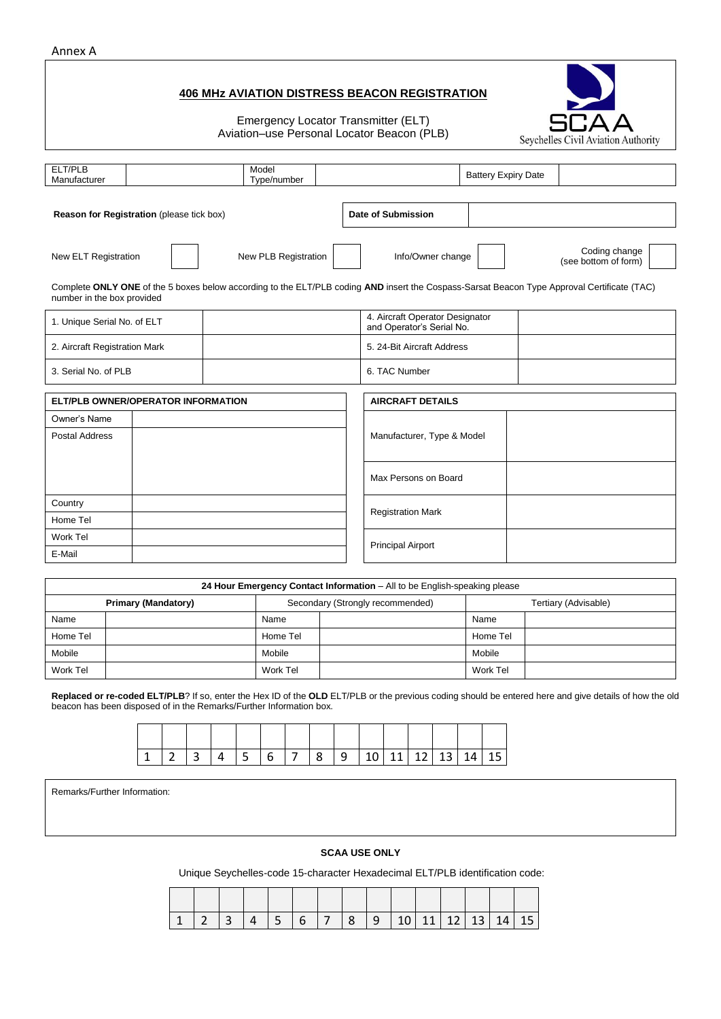## Annex A

## **406 MHz AVIATION DISTRESS BEACON REGISTRATION**

Emergency Locator Transmitter (ELT) Aviation–use Personal Locator Beacon (PLB)

| ELT/PLB<br>Manufacturer                   |                                                                                                                                                                                                                                                                                                                                        |  | Model<br>Type/number |                      |               |                                                              | <b>Battery Expiry Date</b> |  |                                       |  |  |
|-------------------------------------------|----------------------------------------------------------------------------------------------------------------------------------------------------------------------------------------------------------------------------------------------------------------------------------------------------------------------------------------|--|----------------------|----------------------|---------------|--------------------------------------------------------------|----------------------------|--|---------------------------------------|--|--|
|                                           |                                                                                                                                                                                                                                                                                                                                        |  |                      |                      |               |                                                              |                            |  |                                       |  |  |
|                                           |                                                                                                                                                                                                                                                                                                                                        |  |                      |                      |               | <b>Date of Submission</b>                                    |                            |  |                                       |  |  |
|                                           | Reason for Registration (please tick box)<br>New ELT Registration<br>New PLB Registration<br>Complete ONLY ONE of the 5 boxes below according to the ELT/PLB coding AND insert the Cospass-Sarsat Beacon Type Approval Certificate (TAC)<br>number in the box provided<br>1. Unique Serial No. of ELT<br>2. Aircraft Registration Mark |  |                      |                      |               | Info/Owner change                                            |                            |  | Coding change<br>(see bottom of form) |  |  |
|                                           |                                                                                                                                                                                                                                                                                                                                        |  |                      |                      |               |                                                              |                            |  |                                       |  |  |
|                                           |                                                                                                                                                                                                                                                                                                                                        |  |                      |                      |               | 4. Aircraft Operator Designator<br>and Operator's Serial No. |                            |  |                                       |  |  |
|                                           |                                                                                                                                                                                                                                                                                                                                        |  |                      |                      |               | 5. 24-Bit Aircraft Address                                   |                            |  |                                       |  |  |
| 3. Serial No. of PLB                      |                                                                                                                                                                                                                                                                                                                                        |  |                      |                      | 6. TAC Number |                                                              |                            |  |                                       |  |  |
| <b>ELT/PLB OWNER/OPERATOR INFORMATION</b> |                                                                                                                                                                                                                                                                                                                                        |  |                      |                      |               | <b>AIRCRAFT DETAILS</b>                                      |                            |  |                                       |  |  |
| Owner's Name                              |                                                                                                                                                                                                                                                                                                                                        |  |                      |                      |               |                                                              |                            |  |                                       |  |  |
| <b>Postal Address</b>                     |                                                                                                                                                                                                                                                                                                                                        |  |                      |                      |               | Manufacturer, Type & Model                                   |                            |  |                                       |  |  |
|                                           |                                                                                                                                                                                                                                                                                                                                        |  |                      | Max Persons on Board |               |                                                              |                            |  |                                       |  |  |
| Country                                   |                                                                                                                                                                                                                                                                                                                                        |  |                      |                      |               | <b>Registration Mark</b>                                     |                            |  |                                       |  |  |
| Home Tel                                  |                                                                                                                                                                                                                                                                                                                                        |  |                      |                      |               |                                                              |                            |  |                                       |  |  |
| Work Tel                                  |                                                                                                                                                                                                                                                                                                                                        |  |                      |                      |               | <b>Principal Airport</b>                                     |                            |  |                                       |  |  |
| E-Mail                                    |                                                                                                                                                                                                                                                                                                                                        |  |                      |                      |               |                                                              |                            |  |                                       |  |  |

|          |                            |          | 24 Hour Emergency Contact Information – All to be English-speaking please |                      |  |  |  |
|----------|----------------------------|----------|---------------------------------------------------------------------------|----------------------|--|--|--|
|          | <b>Primary (Mandatory)</b> |          | Secondary (Strongly recommended)                                          | Tertiary (Advisable) |  |  |  |
| Name     |                            | Name     |                                                                           | Name                 |  |  |  |
| Home Tel |                            | Home Tel |                                                                           | Home Tel             |  |  |  |
| Mobile   |                            | Mobile   |                                                                           | Mobile               |  |  |  |
| Work Tel |                            | Work Tel |                                                                           | Work Tel             |  |  |  |

**Replaced or re-coded ELT/PLB**? If so, enter the Hex ID of the **OLD** ELT/PLB or the previous coding should be entered here and give details of how the old beacon has been disposed of in the Remarks/Further Information box.

|  |  |  |  |  |  |  | $\vert 5 \vert 6 \vert 7 \vert 8 \vert 9 \vert 10 \vert 11 \vert 12 \vert 13 \vert 14 \vert 15 \vert$ |
|--|--|--|--|--|--|--|-------------------------------------------------------------------------------------------------------|

Remarks/Further Information:

## **SCAA USE ONLY**

Unique Seychelles-code 15-character Hexadecimal ELT/PLB identification code:

|  | 1 1 2 3 4 5 6 7 8 9 10 11 12 13 14 15 |  |  |  |  |  |  |
|--|---------------------------------------|--|--|--|--|--|--|